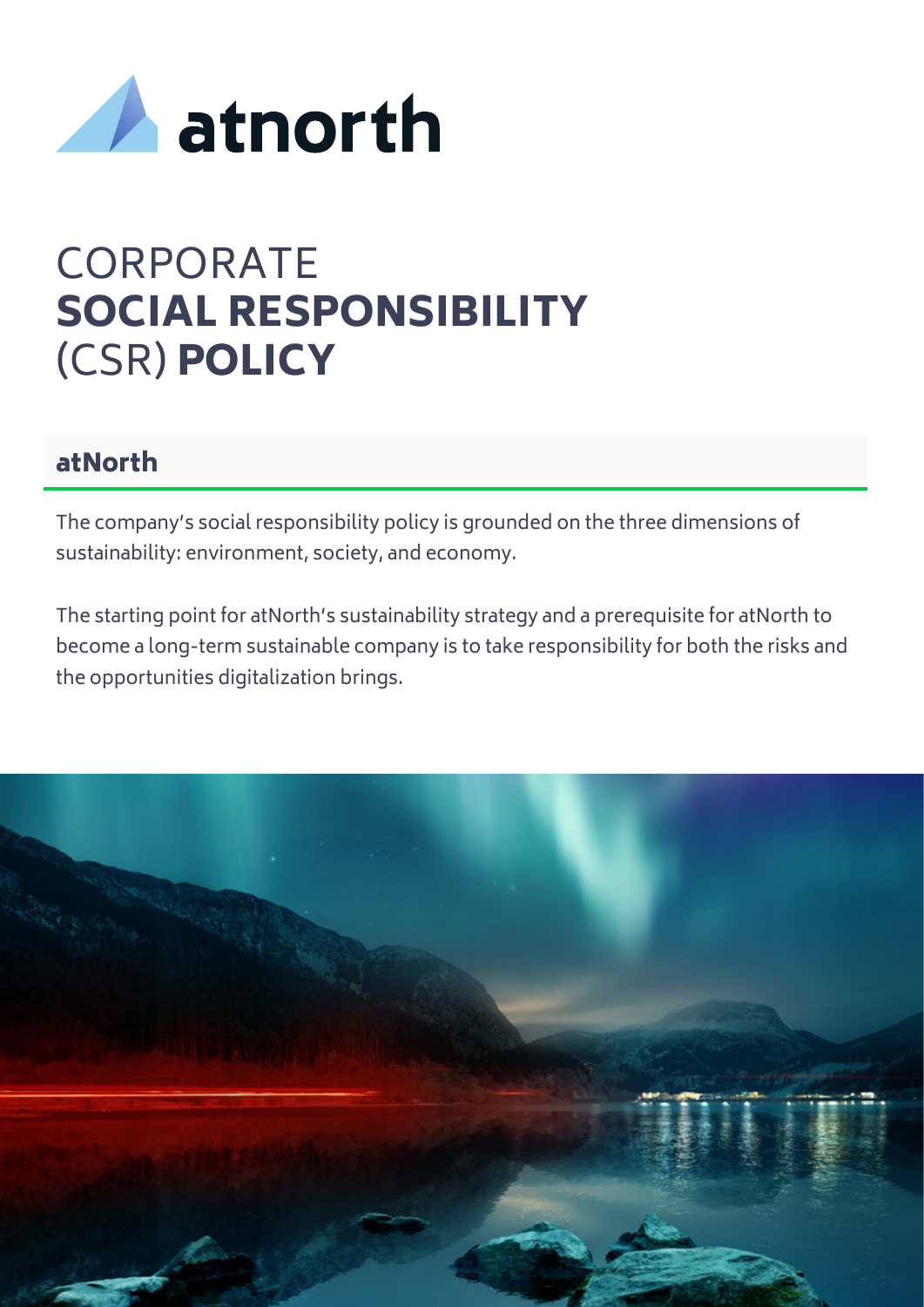

# **CORPORATE** SOCIAL RESPONSIBILITY (CSR) POLICY

#### atNorth

The company's social responsibility policy is grounded on the three dimensions of sustainability: environment, society, and economy.

The starting point for atNorth's sustainability strategy and a prerequisite for atNorth to become a long-term sustainable company is to take responsibility for both the risks and the opportunities digitalization brings.

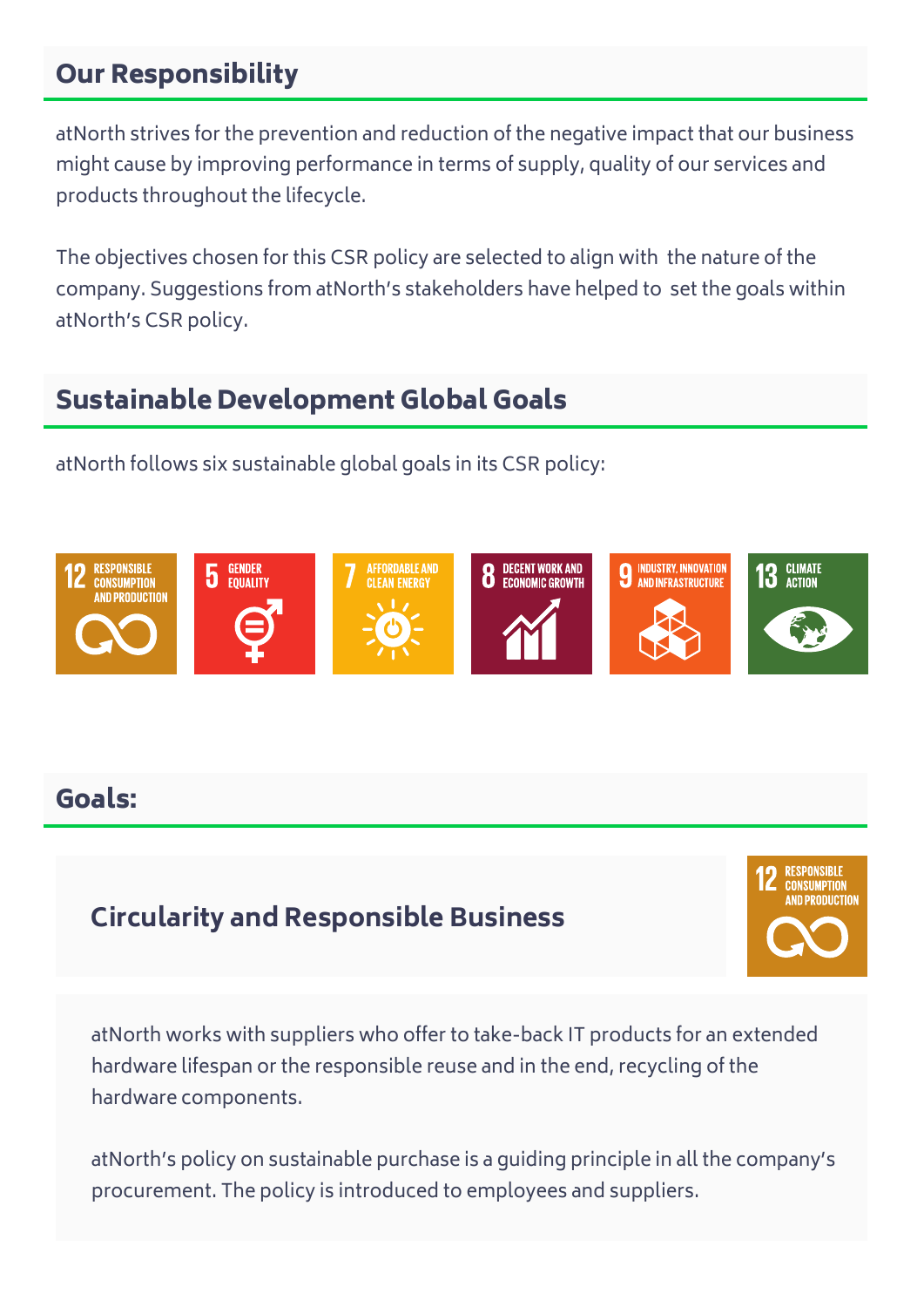# Our Responsibility

atNorth strives for the prevention and reduction of the negative impact that our business might cause by improving performance in terms of supply, quality of our services and products throughout the lifecycle.

The objectives chosen for this CSR policy are selected to align with the nature of the company. Suggestions from atNorth's stakeholders have helped to set the goals within atNorth's CSR policy.

## Sustainable Development Global Goals

atNorth follows six sustainable global goals in its CSR policy:



## Goals:

# **Circularity and Responsible Business**



atNorth works with suppliers who offer to take-back IT products for an extended hardware lifespan or the responsible reuse and in the end, recycling of the hardware components.

atNorth's policy on sustainable purchase is a guiding principle in all the company's procurement. The policy is introduced to employees and suppliers.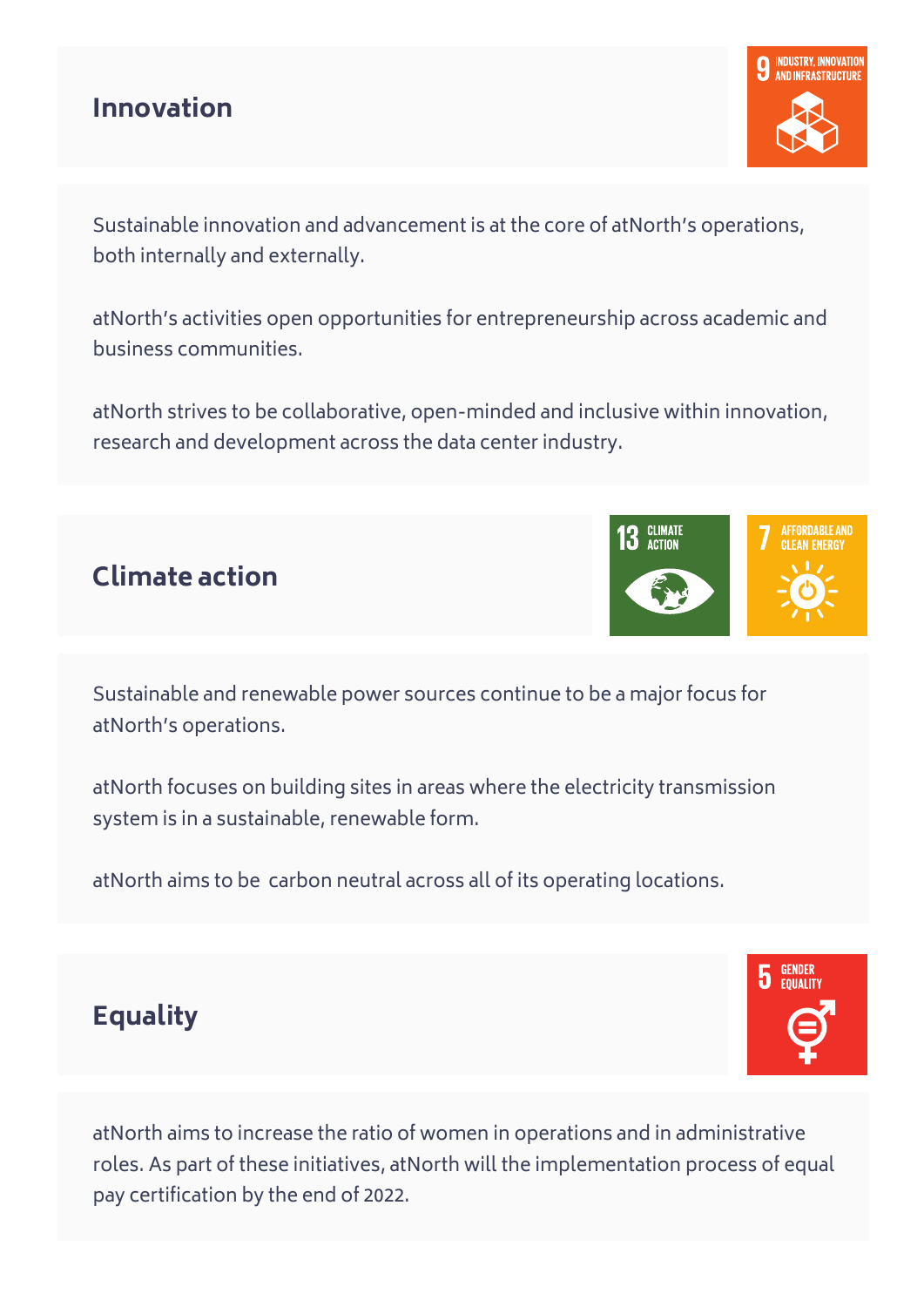#### **Innovation**



Sustainable innovation and advancement is at the core of atNorth's operations, both internally and externally.

atNorth's activities open opportunities for entrepreneurship across academic and business communities.

atNorth strives to be collaborative, open-minded and inclusive within innovation, research and development across the data center industry.





**GENDER**<br>EQUALITY

5

Sustainable and renewable power sources continue to be a major focus for atNorth's operations.

atNorth focuses on building sites in areas where the electricity transmission system is in a sustainable, renewable form.

atNorth aims to be carbon neutral across all of its operating locations.

# **Equality**

atNorth aims to increase the ratio of women in operations and in administrative roles. As part of these initiatives, atNorth will the implementation process of equal pay certification by the end of 2022.